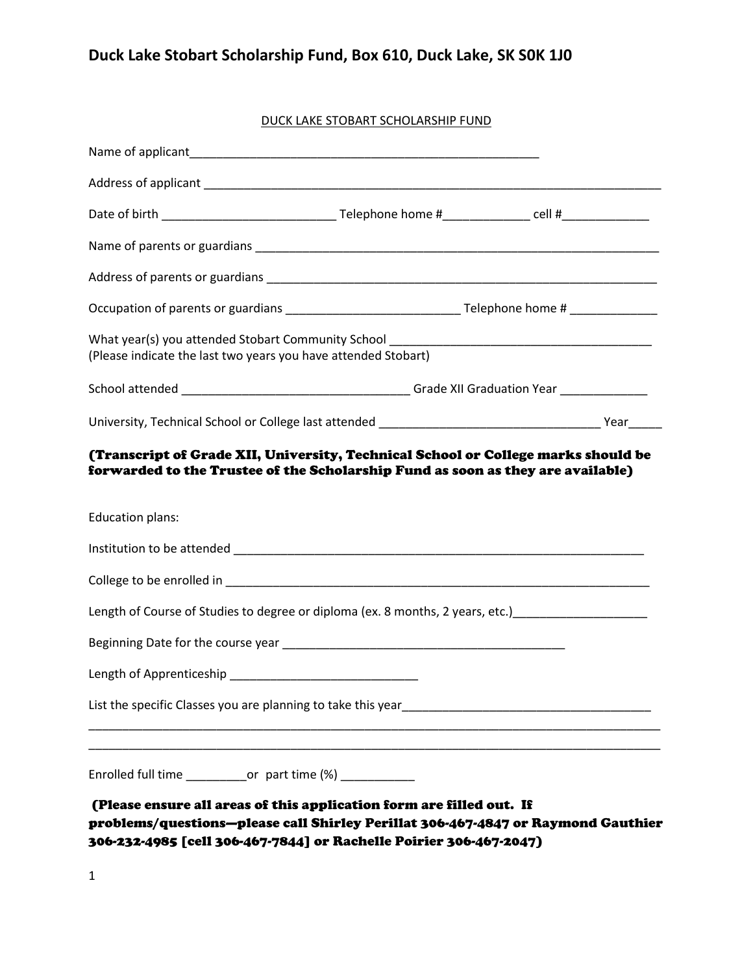## **Duck Lake Stobart Scholarship Fund, Box 610, Duck Lake, SK S0K 1J0**

#### DUCK LAKE STOBART SCHOLARSHIP FUND

| (Please indicate the last two years you have attended Stobart)                                                                                                                                                                 |  |  |  |  |  |  |
|--------------------------------------------------------------------------------------------------------------------------------------------------------------------------------------------------------------------------------|--|--|--|--|--|--|
|                                                                                                                                                                                                                                |  |  |  |  |  |  |
|                                                                                                                                                                                                                                |  |  |  |  |  |  |
| <b>Education plans:</b>                                                                                                                                                                                                        |  |  |  |  |  |  |
|                                                                                                                                                                                                                                |  |  |  |  |  |  |
|                                                                                                                                                                                                                                |  |  |  |  |  |  |
| Beginning Date for the course year example and the state of the state of the state of the state of the state of                                                                                                                |  |  |  |  |  |  |
| Length of Apprenticeship Length Contract Contract Contract Contract Contract Contract Contract Contract Contract Contract Contract Contract Contract Contract Contract Contract Contract Contract Contract Contract Contract C |  |  |  |  |  |  |
|                                                                                                                                                                                                                                |  |  |  |  |  |  |
| Enrolled full time _____________or part time (%) _____________                                                                                                                                                                 |  |  |  |  |  |  |
| (Please ensure all areas of this application form are filled out. If<br>problems/questions—please call Shirley Perillat 306-467-4847 or Raymond Gauthier                                                                       |  |  |  |  |  |  |

306-232-4985 [cell 306-467-7844] or Rachelle Poirier 306-467-2047)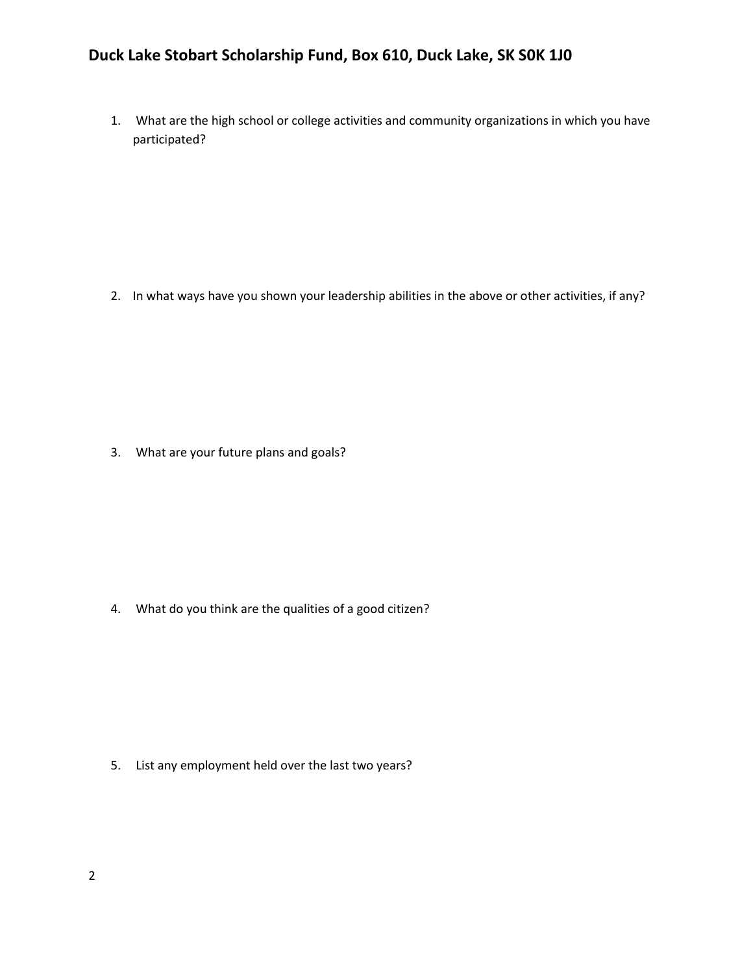### **Duck Lake Stobart Scholarship Fund, Box 610, Duck Lake, SK S0K 1J0**

1. What are the high school or college activities and community organizations in which you have participated?

2. In what ways have you shown your leadership abilities in the above or other activities, if any?

3. What are your future plans and goals?

4. What do you think are the qualities of a good citizen?

5. List any employment held over the last two years?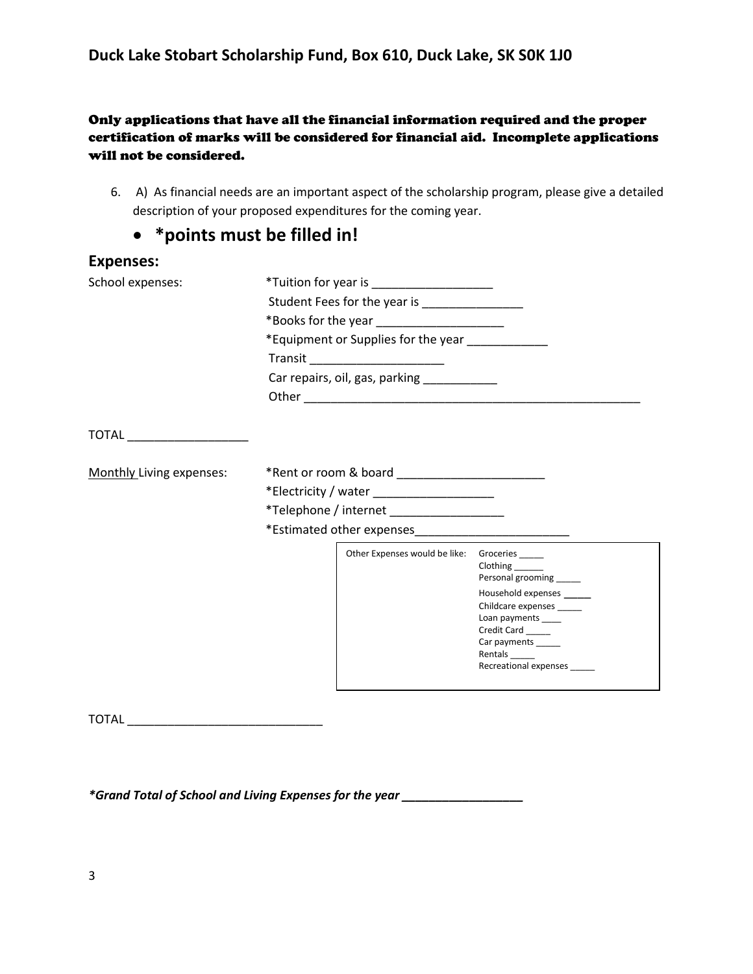#### Only applications that have all the financial information required and the proper certification of marks will be considered for financial aid. Incomplete applications will not be considered.

6. A) As financial needs are an important aspect of the scholarship program, please give a detailed description of your proposed expenditures for the coming year.

## **\*points must be filled in!**

| <b>Expenses:</b>         |                                                                                                                                                                                                                                      |                                               |                                                                                                                                                    |  |  |
|--------------------------|--------------------------------------------------------------------------------------------------------------------------------------------------------------------------------------------------------------------------------------|-----------------------------------------------|----------------------------------------------------------------------------------------------------------------------------------------------------|--|--|
| School expenses:         | *Tuition for year is _______________________                                                                                                                                                                                         |                                               |                                                                                                                                                    |  |  |
|                          | Student Fees for the year is ________________<br>*Books for the year ______________________<br>*Equipment or Supplies for the year _____________<br>Transit _________________________<br>Car repairs, oil, gas, parking ____________ |                                               |                                                                                                                                                    |  |  |
|                          |                                                                                                                                                                                                                                      |                                               |                                                                                                                                                    |  |  |
|                          |                                                                                                                                                                                                                                      |                                               |                                                                                                                                                    |  |  |
|                          |                                                                                                                                                                                                                                      |                                               |                                                                                                                                                    |  |  |
|                          |                                                                                                                                                                                                                                      |                                               |                                                                                                                                                    |  |  |
|                          | TOTAL ______________________                                                                                                                                                                                                         |                                               |                                                                                                                                                    |  |  |
|                          |                                                                                                                                                                                                                                      |                                               |                                                                                                                                                    |  |  |
| Monthly Living expenses: |                                                                                                                                                                                                                                      |                                               |                                                                                                                                                    |  |  |
|                          | *Electricity / water ______________________                                                                                                                                                                                          |                                               |                                                                                                                                                    |  |  |
|                          | *Telephone / internet ____________________                                                                                                                                                                                           |                                               |                                                                                                                                                    |  |  |
|                          |                                                                                                                                                                                                                                      |                                               |                                                                                                                                                    |  |  |
|                          |                                                                                                                                                                                                                                      | Other Expenses would be like: Groceries _____ | Clothing ______<br>Personal grooming ____<br>Household expenses _____<br>Childcare expenses<br>Loan payments<br>Credit Card<br>Car payments ______ |  |  |
|                          |                                                                                                                                                                                                                                      |                                               | Rentals ______<br>Recreational expenses                                                                                                            |  |  |

TOTAL \_\_\_\_\_\_\_\_\_\_\_\_\_\_\_\_\_\_\_\_\_\_\_\_\_\_\_\_\_

*\*Grand Total of School and Living Expenses for the year \_\_\_\_\_\_\_\_\_\_\_\_\_\_\_\_\_\_*